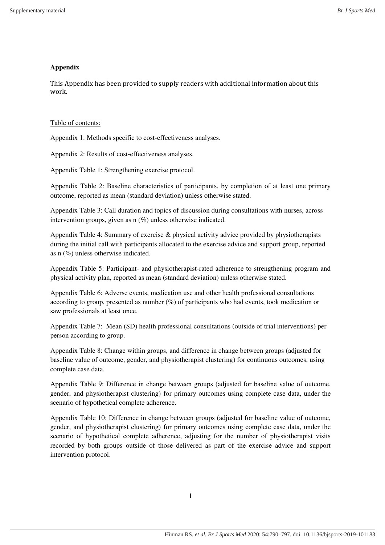## **Appendix**

This Appendix has been provided to supply readers with additional information about this work.

## Table of contents:

Appendix 1: Methods specific to cost-effectiveness analyses.

Appendix 2: Results of cost-effectiveness analyses.

Appendix Table 1: Strengthening exercise protocol.

Appendix Table 2: Baseline characteristics of participants, by completion of at least one primary outcome, reported as mean (standard deviation) unless otherwise stated.

Appendix Table 3: Call duration and topics of discussion during consultations with nurses, across intervention groups, given as n (%) unless otherwise indicated.

Appendix Table 4: Summary of exercise & physical activity advice provided by physiotherapists during the initial call with participants allocated to the exercise advice and support group, reported as n (%) unless otherwise indicated.

Appendix Table 5: Participant- and physiotherapist-rated adherence to strengthening program and physical activity plan, reported as mean (standard deviation) unless otherwise stated.

Appendix Table 6: Adverse events, medication use and other health professional consultations according to group, presented as number  $(\%)$  of participants who had events, took medication or saw professionals at least once.

Appendix Table 7: Mean (SD) health professional consultations (outside of trial interventions) per person according to group.

Appendix Table 8: Change within groups, and difference in change between groups (adjusted for baseline value of outcome, gender, and physiotherapist clustering) for continuous outcomes, using complete case data.

Appendix Table 9: Difference in change between groups (adjusted for baseline value of outcome, gender, and physiotherapist clustering) for primary outcomes using complete case data, under the scenario of hypothetical complete adherence.

Appendix Table 10: Difference in change between groups (adjusted for baseline value of outcome, gender, and physiotherapist clustering) for primary outcomes using complete case data, under the scenario of hypothetical complete adherence, adjusting for the number of physiotherapist visits recorded by both groups outside of those delivered as part of the exercise advice and support intervention protocol.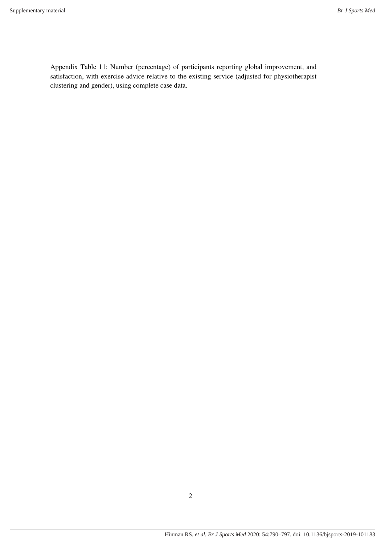Appendix Table 11: Number (percentage) of participants reporting global improvement, and satisfaction, with exercise advice relative to the existing service (adjusted for physiotherapist clustering and gender), using complete case data.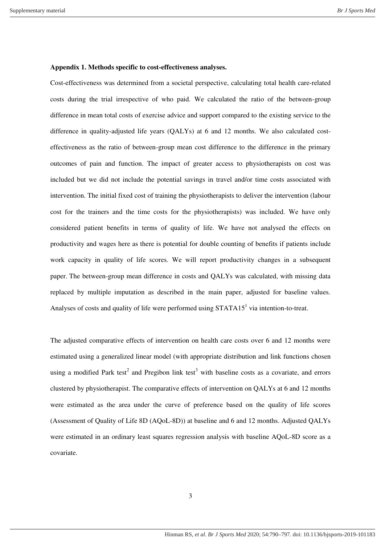#### **Appendix 1. Methods specific to cost-effectiveness analyses.**

Cost-effectiveness was determined from a societal perspective, calculating total health care-related costs during the trial irrespective of who paid. We calculated the ratio of the between-group difference in mean total costs of exercise advice and support compared to the existing service to the difference in quality-adjusted life years (QALYs) at 6 and 12 months. We also calculated costeffectiveness as the ratio of between-group mean cost difference to the difference in the primary outcomes of pain and function. The impact of greater access to physiotherapists on cost was included but we did not include the potential savings in travel and/or time costs associated with intervention. The initial fixed cost of training the physiotherapists to deliver the intervention (labour cost for the trainers and the time costs for the physiotherapists) was included. We have only considered patient benefits in terms of quality of life. We have not analysed the effects on productivity and wages here as there is potential for double counting of benefits if patients include work capacity in quality of life scores. We will report productivity changes in a subsequent paper. The between-group mean difference in costs and QALYs was calculated, with missing data replaced by multiple imputation as described in the main paper, adjusted for baseline values. Analyses of costs and quality of life were performed using  $STATA15<sup>1</sup>$  via intention-to-treat.

The adjusted comparative effects of intervention on health care costs over 6 and 12 months were estimated using a generalized linear model (with appropriate distribution and link functions chosen using a modified Park test<sup>2</sup> and Pregibon link test<sup>3</sup> with baseline costs as a covariate, and errors clustered by physiotherapist. The comparative effects of intervention on QALYs at 6 and 12 months were estimated as the area under the curve of preference based on the quality of life scores (Assessment of Quality of Life 8D (AQoL-8D)) at baseline and 6 and 12 months. Adjusted QALYs were estimated in an ordinary least squares regression analysis with baseline AQoL-8D score as a covariate.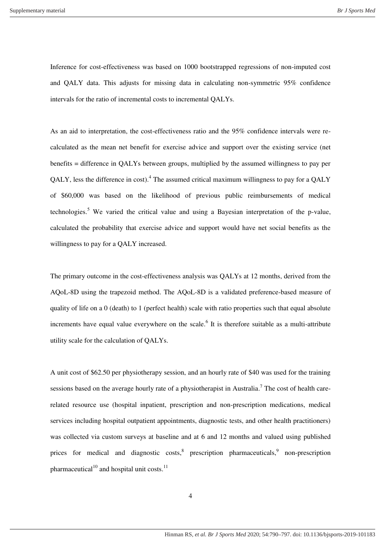Inference for cost-effectiveness was based on 1000 bootstrapped regressions of non-imputed cost and QALY data. This adjusts for missing data in calculating non-symmetric 95% confidence intervals for the ratio of incremental costs to incremental QALYs.

As an aid to interpretation, the cost-effectiveness ratio and the 95% confidence intervals were recalculated as the mean net benefit for exercise advice and support over the existing service (net benefits = difference in QALYs between groups, multiplied by the assumed willingness to pay per QALY, less the difference in cost).<sup>4</sup> The assumed critical maximum willingness to pay for a QALY of \$60,000 was based on the likelihood of previous public reimbursements of medical technologies.<sup>5</sup> We varied the critical value and using a Bayesian interpretation of the p-value, calculated the probability that exercise advice and support would have net social benefits as the willingness to pay for a QALY increased.

The primary outcome in the cost-effectiveness analysis was QALYs at 12 months, derived from the AQoL-8D using the trapezoid method. The AQoL-8D is a validated preference-based measure of quality of life on a  $0$  (death) to 1 (perfect health) scale with ratio properties such that equal absolute increments have equal value everywhere on the scale.<sup>6</sup> It is therefore suitable as a multi-attribute utility scale for the calculation of QALYs.

A unit cost of \$62.50 per physiotherapy session, and an hourly rate of \$40 was used for the training sessions based on the average hourly rate of a physiotherapist in Australia.<sup>7</sup> The cost of health carerelated resource use (hospital inpatient, prescription and non-prescription medications, medical services including hospital outpatient appointments, diagnostic tests, and other health practitioners) was collected via custom surveys at baseline and at 6 and 12 months and valued using published prices for medical and diagnostic  $costs$ ,<sup>8</sup> prescription pharmaceuticals,<sup>9</sup> non-prescription pharmaceutical<sup>10</sup> and hospital unit costs.<sup>11</sup>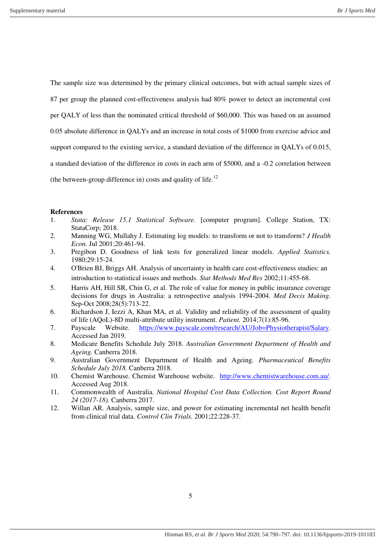The sample size was determined by the primary clinical outcomes, but with actual sample sizes of 87 per group the planned cost-effectiveness analysis had 80% power to detect an incremental cost per QALY of less than the nominated critical threshold of \$60,000. This was based on an assumed 0.05 absolute difference in QALYs and an increase in total costs of \$1000 from exercise advice and support compared to the existing service, a standard deviation of the difference in QALYs of 0.015, a standard deviation of the difference in costs in each arm of \$5000, and a -0.2 correlation between (the between-group difference in) costs and quality of life.<sup>12</sup>

#### **References**

- 1. *Stata: Release 15.1 Statistical Software.* [computer program]. College Station, TX: StataCorp; 2018.
- 2. Manning WG, Mullahy J. Estimating log models: to transform or not to transform? *J Health Econ.* Jul 2001;20:461-94.
- 3. Pregibon D. Goodness of link tests for generalized linear models. *Applied Statistics.*  1980;29:15-24.
- 4. O'Brien BJ, Briggs AH. Analysis of uncertainty in health care cost-effectiveness studies: an introduction to statistical issues and methods. *Stat Methods Med Res* 2002;11:455-68.
- 5. Harris AH, Hill SR, Chin G, et al. The role of value for money in public insurance coverage decisions for drugs in Australia: a retrospective analysis 1994-2004. *Med Decis Making.*  Sep-Oct 2008;28(5):713-22.
- 6. Richardson J, Iezzi A, Khan MA, et al. Validity and reliability of the assessment of quality of life (AQoL)-8D multi-attribute utility instrument. *Patient.* 2014;7(1):85-96.
- 7. Payscale Website. [https://www.payscale.com/research/AU/Job=Physiotherapist/Salary.](https://www.payscale.com/research/AU/Job=Physiotherapist/Salary) Accessed Jan 2019.
- 8. Medicare Benefits Schedule July 2018. *Australian Government Department of Health and Ageing.* Canberra 2018.
- 9. Australian Government Department of Health and Ageing. *Pharmaceutical Benefits Schedule July 2018.* Canberra 2018.
- 10. Chemist Warehouse. Chemist Warehouse website. [http://www.chemistwarehouse.com.au/.](http://www.chemistwarehouse.com.au/) Accessed Aug 2018.
- 11. Commonwealth of Australia. *National Hospital Cost Data Collection. Cost Report Round 24 (2017-18).* Canberra 2017.
- 12. Willan AR. Analysis, sample size, and power for estimating incremental net health benefit from clinical trial data. *Control Clin Trials.* 2001;22:228-37.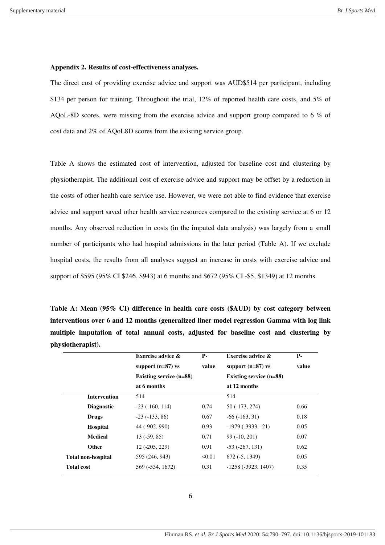#### **Appendix 2. Results of cost-effectiveness analyses.**

The direct cost of providing exercise advice and support was AUD\$514 per participant, including \$134 per person for training. Throughout the trial, 12% of reported health care costs, and 5% of AQoL-8D scores, were missing from the exercise advice and support group compared to 6 % of cost data and 2% of AQoL8D scores from the existing service group.

Table A shows the estimated cost of intervention, adjusted for baseline cost and clustering by physiotherapist. The additional cost of exercise advice and support may be offset by a reduction in the costs of other health care service use. However, we were not able to find evidence that exercise advice and support saved other health service resources compared to the existing service at 6 or 12 months. Any observed reduction in costs (in the imputed data analysis) was largely from a small number of participants who had hospital admissions in the later period (Table A). If we exclude hospital costs, the results from all analyses suggest an increase in costs with exercise advice and support of \$595 (95% CI \$246, \$943) at 6 months and \$672 (95% CI -\$5, \$1349) at 12 months.

**Table A: Mean (95% CI) difference in health care costs (\$AUD) by cost category between interventions over 6 and 12 months (generalized liner model regression Gamma with log link multiple imputation of total annual costs, adjusted for baseline cost and clustering by physiotherapist).** 

|                           | Exercise advice &       | р.    | <b>Exercise advice &amp;</b> | <b>P</b> - |
|---------------------------|-------------------------|-------|------------------------------|------------|
|                           | support $(n=87)$ vs     | value | support $(n=87)$ vs          | value      |
|                           | Existing service (n=88) |       | Existing service (n=88)      |            |
|                           | at 6 months             |       | at 12 months                 |            |
| <b>Intervention</b>       | 514                     |       | 514                          |            |
| <b>Diagnostic</b>         | $-23$ ( $-160$ , 114)   | 0.74  | 50 (-173, 274)               | 0.66       |
| <b>Drugs</b>              | $-23(-133, 86)$         | 0.67  | $-66(-163, 31)$              | 0.18       |
| <b>Hospital</b>           | 44 (-902, 990)          | 0.93  | $-1979$ $(-3933, -21)$       | 0.05       |
| <b>Medical</b>            | $13(-59, 85)$           | 0.71  | $99(-10, 201)$               | 0.07       |
| Other                     | $12(-205, 229)$         | 0.91  | $-53$ $(-267, 131)$          | 0.62       |
| <b>Total non-hospital</b> | 595 (246, 943)          | 50.01 | $672(-5, 1349)$              | 0.05       |
| <b>Total cost</b>         | 569 (-534, 1672)        | 0.31  | $-1258$ $(-3923, 1407)$      | 0.35       |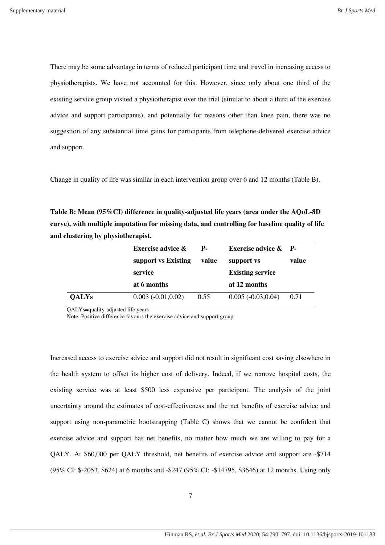There may be some advantage in terms of reduced participant time and travel in increasing access to physiotherapists. We have not accounted for this. However, since only about one third of the existing service group visited a physiotherapist over the trial (similar to about a third of the exercise advice and support participants), and potentially for reasons other than knee pain, there was no suggestion of any substantial time gains for participants from telephone-delivered exercise advice and support.

Change in quality of life was similar in each intervention group over 6 and 12 months (Table B).

**Table B: Mean (95%CI) difference in quality-adjusted life years (area under the AQoL-8D curve), with multiple imputation for missing data, and controlling for baseline quality of life and clustering by physiotherapist.** 

|              | <b>Exercise advice &amp;</b> | $P-$  | Exercise advice $\&$ P- |       |
|--------------|------------------------------|-------|-------------------------|-------|
|              | support vs Existing          | value | support vs              | value |
|              | service                      |       | <b>Existing service</b> |       |
|              | at 6 months                  |       | at 12 months            |       |
| <b>QALYs</b> | $0.003(-0.01, 0.02)$         | 0.55  | $0.005(-0.03, 0.04)$    | 0.71  |

QALYs=quality-adjusted life years

Note: Positive difference favours the exercise advice and support group

Increased access to exercise advice and support did not result in significant cost saving elsewhere in the health system to offset its higher cost of delivery. Indeed, if we remove hospital costs, the existing service was at least \$500 less expensive per participant. The analysis of the joint uncertainty around the estimates of cost-effectiveness and the net benefits of exercise advice and support using non-parametric bootstrapping (Table C) shows that we cannot be confident that exercise advice and support has net benefits, no matter how much we are willing to pay for a QALY. At \$60,000 per QALY threshold, net benefits of exercise advice and support are -\$714 (95% CI: \$-2053, \$624) at 6 months and -\$247 (95% CI: -\$14795, \$3646) at 12 months. Using only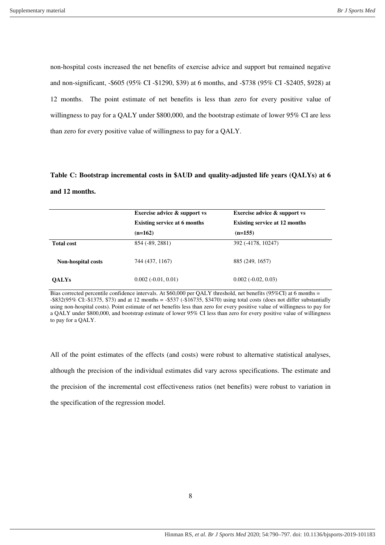non-hospital costs increased the net benefits of exercise advice and support but remained negative and non-significant, -\$605 (95% CI -\$1290, \$39) at 6 months, and -\$738 (95% CI -\$2405, \$928) at 12 months. The point estimate of net benefits is less than zero for every positive value of willingness to pay for a QALY under \$800,000, and the bootstrap estimate of lower 95% CI are less than zero for every positive value of willingness to pay for a QALY.

# **Table C: Bootstrap incremental costs in \$AUD and quality-adjusted life years (QALYs) at 6 and 12 months.**

|                    | <b>Exercise advice &amp; support vs</b> | <b>Exercise advice &amp; support vs</b> |
|--------------------|-----------------------------------------|-----------------------------------------|
|                    | <b>Existing service at 6 months</b>     | <b>Existing service at 12 months</b>    |
|                    | $(n=162)$                               | $(n=155)$                               |
| <b>Total cost</b>  | 854 (-89, 2881)                         | 392 (-4178, 10247)                      |
| Non-hospital costs | 744 (437, 1167)                         | 885 (249, 1657)                         |
| <b>OALYs</b>       | $0.002(-0.01, 0.01)$                    | $0.002(-0.02, 0.03)$                    |

Bias corrected percentile confidence intervals. At \$60,000 per QALY threshold, net benefits (95%CI) at 6 months = -\$832(95% CI:-\$1375, \$73) and at 12 months = -\$537 (-\$16735, \$3470) using total costs (does not differ substantially using non-hospital costs). Point estimate of net benefits less than zero for every positive value of willingness to pay for a QALY under \$800,000, and bootstrap estimate of lower 95% CI less than zero for every positive value of willingness to pay for a QALY.

All of the point estimates of the effects (and costs) were robust to alternative statistical analyses, although the precision of the individual estimates did vary across specifications. The estimate and the precision of the incremental cost effectiveness ratios (net benefits) were robust to variation in the specification of the regression model.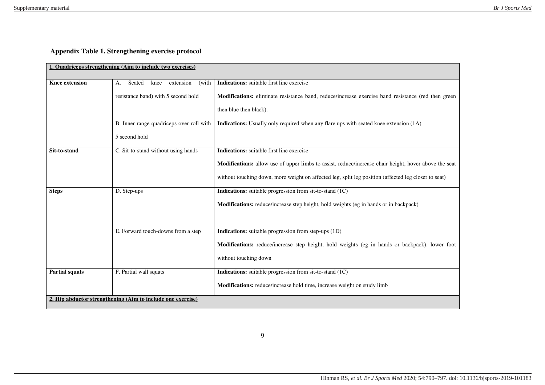## **Appendix Table 1. Strengthening exercise protocol**

|                       | 1. Quadriceps strengthening (Aim to include two exercises)  |                                                                                                       |
|-----------------------|-------------------------------------------------------------|-------------------------------------------------------------------------------------------------------|
| <b>Knee extension</b> | Seated<br>extension<br>knee<br>(with<br>A.                  | Indications: suitable first line exercise                                                             |
|                       | resistance band) with 5 second hold                         | Modifications: eliminate resistance band, reduce/increase exercise band resistance (red then green    |
|                       |                                                             | then blue then black).                                                                                |
|                       | B. Inner range quadriceps over roll with                    | Indications: Usually only required when any flare ups with seated knee extension (1A)                 |
|                       | 5 second hold                                               |                                                                                                       |
| Sit-to-stand          | C. Sit-to-stand without using hands                         | Indications: suitable first line exercise                                                             |
|                       |                                                             | Modifications: allow use of upper limbs to assist, reduce/increase chair height, hover above the seat |
|                       |                                                             | without touching down, more weight on affected leg, split leg position (affected leg closer to seat)  |
| <b>Steps</b>          | D. Step-ups                                                 | Indications: suitable progression from sit-to-stand (1C)                                              |
|                       |                                                             | <b>Modifications:</b> reduce/increase step height, hold weights (eg in hands or in backpack)          |
|                       |                                                             |                                                                                                       |
|                       | E. Forward touch-downs from a step                          | <b>Indications:</b> suitable progression from step-ups (1D)                                           |
|                       |                                                             | Modifications: reduce/increase step height, hold weights (eg in hands or backpack), lower foot        |
|                       |                                                             | without touching down                                                                                 |
| <b>Partial squats</b> | F. Partial wall squats                                      | Indications: suitable progression from sit-to-stand (1C)                                              |
|                       |                                                             | Modifications: reduce/increase hold time, increase weight on study limb                               |
|                       | 2. Hip abductor strengthening (Aim to include one exercise) |                                                                                                       |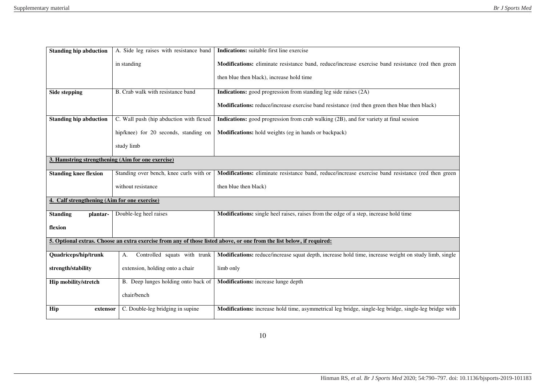| <b>Standing hip abduction</b>                     | A. Side leg raises with resistance band | Indications: suitable first line exercise                                                                             |
|---------------------------------------------------|-----------------------------------------|-----------------------------------------------------------------------------------------------------------------------|
|                                                   | in standing                             | Modifications: eliminate resistance band, reduce/increase exercise band resistance (red then green                    |
|                                                   |                                         | then blue then black), increase hold time                                                                             |
| <b>Side stepping</b>                              | B. Crab walk with resistance band       | Indications: good progression from standing leg side raises (2A)                                                      |
|                                                   |                                         | <b>Modifications:</b> reduce/increase exercise band resistance (red then green then blue then black)                  |
| <b>Standing hip abduction</b>                     | C. Wall push (hip abduction with flexed | Indications: good progression from crab walking (2B), and for variety at final session                                |
|                                                   | hip/knee) for 20 seconds, standing on   | Modifications: hold weights (eg in hands or backpack)                                                                 |
|                                                   | study limb                              |                                                                                                                       |
| 3. Hamstring strengthening (Aim for one exercise) |                                         |                                                                                                                       |
| <b>Standing knee flexion</b>                      | Standing over bench, knee curls with or | Modifications: eliminate resistance band, reduce/increase exercise band resistance (red then green                    |
|                                                   | without resistance                      | then blue then black)                                                                                                 |
| 4. Calf strengthening (Aim for one exercise)      |                                         |                                                                                                                       |
| <b>Standing</b><br>plantar-                       | Double-leg heel raises                  | Modifications: single heel raises, raises from the edge of a step, increase hold time                                 |
| flexion                                           |                                         |                                                                                                                       |
|                                                   |                                         | 5. Optional extras. Choose an extra exercise from any of those listed above, or one from the list below, if required: |
| Quadriceps/hip/trunk                              | Controlled squats with trunk<br>A.      | Modifications: reduce/increase squat depth, increase hold time, increase weight on study limb, single                 |
| strength/stability                                | extension, holding onto a chair         | limb only                                                                                                             |
| Hip mobility/stretch                              | B. Deep lunges holding onto back of     | Modifications: increase lunge depth                                                                                   |
|                                                   | chair/bench                             |                                                                                                                       |
| Hip<br>extensor                                   | C. Double-leg bridging in supine        | Modifications: increase hold time, asymmetrical leg bridge, single-leg bridge, single-leg bridge with                 |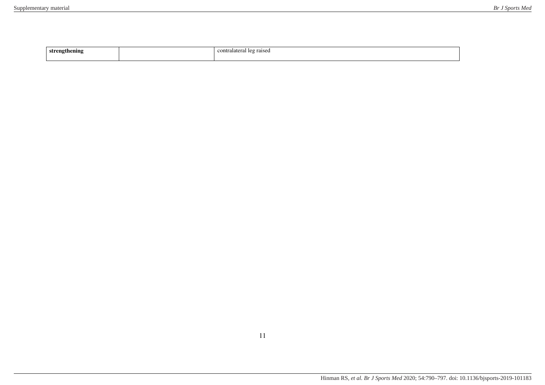| .<br>. .<br>$\sim$ | contr:<br>alatera:<br>$\alpha$<br>raised<br>-10 |
|--------------------|-------------------------------------------------|
|                    |                                                 |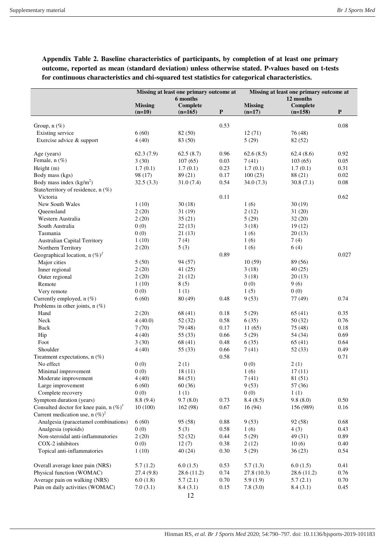|                                                    | Missing at least one primary outcome at |                       | Missing at least one primary outcome at |                            |                       |             |
|----------------------------------------------------|-----------------------------------------|-----------------------|-----------------------------------------|----------------------------|-----------------------|-------------|
|                                                    |                                         | 6 months              |                                         |                            | 12 months             |             |
|                                                    | <b>Missing</b><br>$(n=10)$              | Complete<br>$(n=165)$ | $\mathbf P$                             | <b>Missing</b><br>$(n=17)$ | Complete<br>$(n=158)$ | $\mathbf P$ |
|                                                    |                                         |                       |                                         |                            |                       |             |
| Group, $n$ (%)                                     |                                         |                       | 0.53                                    |                            |                       | 0.08        |
| Existing service                                   | 6(60)                                   | 82 (50)               |                                         | 12(71)                     | 76 (48)               |             |
| Exercise advice & support                          | 4(40)                                   | 83 (50)               |                                         | 5(29)                      | 82 (52)               |             |
| Age (years)                                        | 62.3(7.9)                               | 62.5(8.7)             | 0.96                                    | 62.6(8.5)                  | 62.4(8.6)             | 0.92        |
| Female, n (%)                                      | 3(30)                                   | 107(65)               | 0.03                                    | 7(41)                      | 103(65)               | 0.05        |
| Height (m)                                         | 1.7(0.1)                                | 1.7(0.1)              | 0.23                                    | 1.7(0.1)                   | 1.7(0.1)              | 0.31        |
| Body mass (kgs)                                    | 98 (17)                                 | 89 (21)               | 0.17                                    | 100(23)                    | 88 (21)               | 0.02        |
| Body mass index $(kg/m2)$                          | 32.5(3.3)                               | 31.0(7.4)             | 0.54                                    | 34.0(7.3)                  | 30.8(7.1)             | 0.08        |
| State/territory of residence, n (%)                |                                         |                       |                                         |                            |                       |             |
| Victoria                                           |                                         |                       | 0.11                                    |                            |                       | 0.62        |
| New South Wales                                    | 1(10)                                   | 30(18)                |                                         | 1(6)                       | 30(19)                |             |
| Queensland                                         | 2(20)                                   | 31(19)                |                                         | 2(12)                      | 31(20)                |             |
| Western Australia                                  | 2(20)                                   | 35(21)                |                                         | 5(29)                      | 32(20)                |             |
| South Australia                                    | 0(0)                                    | 22(13)                |                                         | 3(18)                      | 19(12)                |             |
| Tasmania                                           | 0(0)                                    | 21(13)                |                                         | 1(6)                       | 20(13)                |             |
| <b>Australian Capital Territory</b>                | 1(10)                                   | 7(4)                  |                                         | 1(6)                       | 7(4)                  |             |
| Northern Territory                                 | 2(20)                                   | 5(3)                  |                                         | 1(6)                       | 6(4)                  |             |
| Geographical location, n $(\%)^f$                  |                                         |                       | 0.89                                    |                            |                       | 0.027       |
| Major cities                                       | 5(50)                                   | 94 (57)               |                                         | 10(59)                     | 89 (56)               |             |
| Inner regional                                     | 2(20)                                   | 41(25)                |                                         | 3(18)                      | 40(25)                |             |
| Outer regional                                     | 2(20)                                   | 21(12)                |                                         | 3(18)                      | 20(13)                |             |
| Remote                                             | 1(10)                                   | 8(5)                  |                                         | 0(0)                       | 9(6)                  |             |
| Very remote                                        | 0(0)                                    | 1(1)                  |                                         | 1(5)                       | 0(0)                  |             |
| Currently employed, n (%)                          | 6(60)                                   | 80(49)                | 0.48                                    | 9(53)                      | 77 (49)               | 0.74        |
| Problems in other joints, $n$ (%)                  |                                         |                       |                                         |                            |                       |             |
| Hand                                               | 2(20)                                   | 68 (41)               | 0.18                                    | 5(29)                      | 65(41)                | 0.35        |
| Neck                                               | 4(40.0)                                 | 52(32)                | 0.58                                    | 6(35)                      | 50(32)                | 0.76        |
| Back                                               | 7(70)                                   | 79 (48)               | 0.17                                    | 11(65)                     | 75 (48)               | 0.18        |
| Hip                                                | 4(40)                                   | 55 (33)               | 0.66                                    | 5(29)                      | 54 (34)               | 0.69        |
| Foot                                               | 3(30)                                   | 68(41)                | 0.48                                    | 6(35)                      | 65(41)                | 0.64        |
| Shoulder                                           | 4(40)                                   | 55 (33)               | 0.66                                    | 7(41)                      | 52(33)                | 0.49        |
| Treatment expectations, $n$ (%)                    |                                         |                       | 0.58                                    |                            |                       | 0.71        |
| No effect                                          | 0(0)                                    | 2(1)                  |                                         | 0(0)                       | 2(1)                  |             |
| Minimal improvement                                | 0(0)                                    | 18(11)                |                                         | 1(6)                       | 17(11)                |             |
| Moderate improvement                               | 4(40)                                   | 84 (51)               |                                         | 7(41)                      | 81 (51)               |             |
| Large improvement                                  | 6(60)                                   | 60(36)                |                                         | 9(53)                      | 57 (36)               |             |
| Complete recovery                                  | 0(0)                                    | 1(1)                  |                                         | 0(0)                       | 1(1)                  |             |
| Symptom duration (years)                           | 8.8(9.4)                                | 9.7(8.0)              | 0.73                                    | 8.4(8.5)                   | 9.8(8.0)              | 0.50        |
| Consulted doctor for knee pain, n $(\%)^{\dagger}$ | 10(100)                                 | 162 (98)              | 0.67                                    | 16(94)                     | 156 (989)             | 0.16        |
| Current medication use, n $(\%)^{\dagger}$         |                                         |                       |                                         |                            |                       |             |
| Analgesia (paracetamol combinations)               | 6(60)                                   | 95(58)                | 0.88                                    | 9(53)                      | 92(58)                | 0.68        |
| Analgesia (opioids)                                | 0(0)                                    | 5(3)                  | 0.58                                    | 1(6)                       | 4(3)                  | 0.43        |
| Non-steroidal anti-inflammatories                  | 2(20)                                   | 52 (32)               | 0.44                                    | 5(29)                      | 49 (31)               | 0.89        |
| COX-2 inhibitors                                   | 0(0)                                    | 12(7)                 | 0.38                                    | 2(12)                      | 10(6)                 | 0.40        |
| Topical anti-inflammatories                        | 1(10)                                   | 40(24)                | 0.30                                    | 5(29)                      | 36(23)                | 0.54        |
|                                                    |                                         |                       |                                         |                            |                       |             |
| Overall average knee pain (NRS)                    | 5.7(1.2)                                | 6.0(1.5)              | 0.53                                    | 5.7(1.3)                   | 6.0(1.5)              | 0.41        |
| Physical function (WOMAC)                          | 27.4(9.8)                               | 28.6 (11.2)           | 0.74                                    | 27.8(10.3)                 | 28.6 (11.2)           | 0.76        |
| Average pain on walking (NRS)                      | 6.0(1.8)                                | 5.7(2.1)              | 0.70                                    | 5.9(1.9)                   | 5.7(2.1)              | 0.70        |
| Pain on daily activities (WOMAC)                   | 7.0(3.1)                                | 8.4(3.1)              | 0.15                                    | 7.8(3.0)                   | 8.4(3.1)              | 0.45        |
|                                                    |                                         | 12                    |                                         |                            |                       |             |

**Appendix Table 2. Baseline characteristics of participants, by completion of at least one primary outcome, reported as mean (standard deviation) unless otherwise stated. P-values based on t-tests for continuous characteristics and chi-squared test statistics for categorical characteristics.**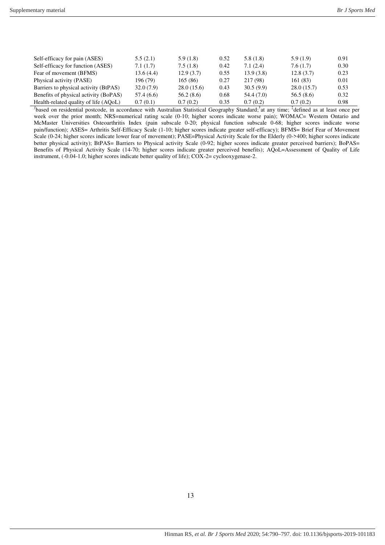| Self-efficacy for pain (ASES)         | 5.5(2.1)   | 5.9(1.8)   | 0.52 | 5.8(1.8)   | 5.9(1.9)   | 0.91 |
|---------------------------------------|------------|------------|------|------------|------------|------|
| Self-efficacy for function (ASES)     | 7.1(1.7)   | 7.5(1.8)   | 0.42 | 7.1(2.4)   | 7.6(1.7)   | 0.30 |
| Fear of movement (BFMS)               | 13.6(4.4)  | 12.9(3.7)  | 0.55 | 13.9(3.8)  | 12.8(3.7)  | 0.23 |
| Physical activity (PASE)              | 196 (79)   | 165(86)    | 0.27 | 217 (98)   | 161(83)    | 0.01 |
| Barriers to physical activity (BtPAS) | 32.0(7.9)  | 28.0(15.6) | 0.43 | 30.5(9.9)  | 28.0(15.7) | 0.53 |
| Benefits of physical activity (BoPAS) | 57.4 (6.6) | 56.2(8.6)  | 0.68 | 54.4 (7.0) | 56.5(8.6)  | 0.32 |
| Health-related quality of life (AOoL) | 0.7(0.1)   | 0.7(0.2)   | 0.35 | 0.7(0.2)   | 0.7(0.2)   | 0.98 |

 $\ell$ based on residential postcode, in accordance with Australian Statistical Geography Standard; <sup>†</sup>at any time; <sup>‡</sup>defined as at least once per week over the prior month; NRS=numerical rating scale (0-10; higher scores indicate worse pain); WOMAC= Western Ontario and McMaster Universities Osteoarthritis Index (pain subscale 0-20; physical function subscale 0-68; higher scores indicate worse pain/function); ASES= Arthritis Self-Efficacy Scale (1-10; higher scores indicate greater self-efficacy); BFMS= Brief Fear of Movement Scale (0-24; higher scores indicate lower fear of movement); PASE=Physical Activity Scale for the Elderly (0->400; higher scores indicate better physical activity); BtPAS= Barriers to Physical activity Scale (0-92; higher scores indicate greater perceived barriers); BoPAS= Benefits of Physical Activity Scale (14-70; higher scores indicate greater perceived benefits); AQoL=Assessment of Quality of Life instrument, (-0.04-1.0; higher scores indicate better quality of life); COX-2= cyclooxygenase-2.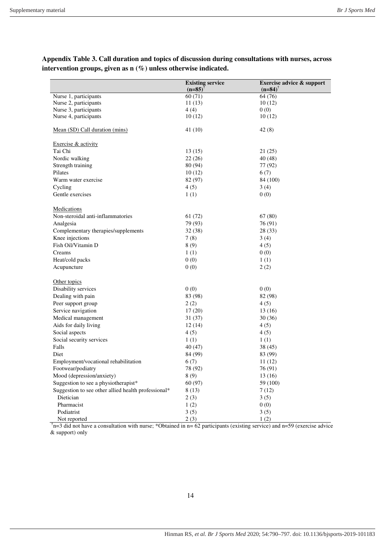**Existing service**   $(n=85)$ <sup>†</sup> **Exercise advice & support**   $(n=84)$ <sup>†</sup> Nurse 1, participants Nurse 2, participants Nurse 3, participants Nurse 4, participants Mean (SD) Call duration (mins) 60 (71) 11 (13) 4 (4) 10 (12) 41 (10) 64 (76) 10 (12)  $0(0)$ 10 (12) 42 (8) Exercise & activity Tai Chi 13 (15) 21 (25) Nordic walking 22 (26) 40 (48) Strength training 80 (94) 77 (92) Pilates 6(7)  $10(12)$  6(7) Warm water exercise 82 (97) 84 (100) Cycling  $4 (5)$   $3 (4)$ Gentle exercises  $1(1)$   $0(0)$ **Medications** Non-steroidal anti-inflammatories 61 (72) 67 (80) Analgesia 79 (93) 76 (91) Complementary therapies/supplements 32 (38) 28 (33) Knee injections  $7 (8)$  3 (4) Fish Oil/Vitamin D  $8(9)$   $4(5)$ <br>Creams  $1(1)$   $0(0)$ Creams  $1 (1)$  0 (0) Heat/cold packs  $0 \tag{0}$  1 (1) Acupuncture  $0 \tag{0} 0$   $2 \tag{2} 2$ Other topics Disability services  $0(0)$   $0(0)$ Dealing with pain 83 (98) 82 (98) 82 (98) Peer support group  $2(2)$   $4(5)$ Service navigation  $17 (20)$  13 (16) Medical management 31 (37) 30 (36) Aids for daily living  $12(14)$   $4(5)$ Social aspects  $4(5)$   $4(5)$ Social security services 1 (1) 1 (1) Falls  $40 (47)$   $38 (45)$ Diet 84 (99) 83 (99) Employment/vocational rehabilitation 6 (7) 11 (12) Footwear/podiatry 78 (92) 76 (91) Mood (depression/anxiety) 8 (9) 13 (16) Suggestion to see a physiotherapist\* 60 (97) 59 (100) Suggestion to see other allied health professional\*  $8(13)$   $7(12)$ Dietician  $2(3)$   $3(5)$ Pharmacist  $1 (2)$  0 (0) Podiatrist Not reported 3 (5) 2 (3) 3 (5) 1 (2)

**Appendix Table 3. Call duration and topics of discussion during consultations with nurses, across intervention groups, given as n (%) unless otherwise indicated.** 

 $^{\dagger}$ n=3 did not have a consultation with nurse; \*Obtained in n= 62 participants (existing service) and n=59 (exercise advice & support) only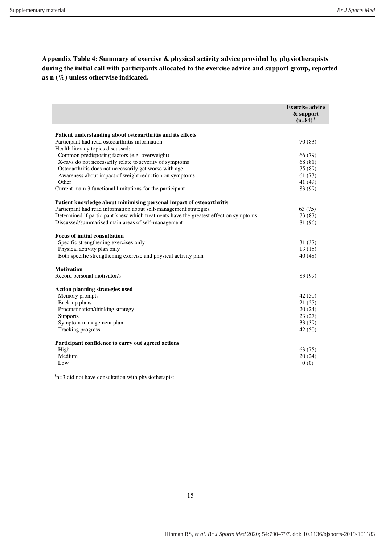**Appendix Table 4: Summary of exercise & physical activity advice provided by physiotherapists during the initial call with participants allocated to the exercise advice and support group, reported as n (%) unless otherwise indicated.** 

|                                                                                                | <b>Exercise advice</b><br>& support<br>$(n=84)$ <sup>†</sup> |
|------------------------------------------------------------------------------------------------|--------------------------------------------------------------|
| Patient understanding about osteoarthritis and its effects                                     |                                                              |
| Participant had read osteoarthritis information                                                | 70 (83)                                                      |
| Health literacy topics discussed:                                                              |                                                              |
| Common predisposing factors (e.g. overweight)                                                  | 66 (79)                                                      |
| X-rays do not necessarily relate to severity of symptoms                                       | 68 (81)                                                      |
| Osteoarthritis does not necessarily get worse with age                                         | 75 (89)                                                      |
| Awareness about impact of weight reduction on symptoms                                         | 61 (73)                                                      |
| Other                                                                                          | 41 (49)                                                      |
| Current main 3 functional limitations for the participant                                      | 83 (99)                                                      |
| Patient knowledge about minimising personal impact of osteoarthritis                           |                                                              |
| Participant had read information about self-management strategies                              | 63(75)                                                       |
| Determined if participant knew which treatments have the greatest effect on symptoms           | 73 (87)                                                      |
| Discussed/summarised main areas of self-management                                             | 81 (96)                                                      |
|                                                                                                |                                                              |
| <b>Focus of initial consultation</b>                                                           |                                                              |
| Specific strengthening exercises only                                                          | 31(37)<br>13(15)                                             |
| Physical activity plan only<br>Both specific strengthening exercise and physical activity plan | 40(48)                                                       |
|                                                                                                |                                                              |
| <b>Motivation</b>                                                                              |                                                              |
| Record personal motivator/s                                                                    | 83 (99)                                                      |
|                                                                                                |                                                              |
| <b>Action planning strategies used</b>                                                         |                                                              |
| Memory prompts                                                                                 | 42(50)                                                       |
| Back-up plans                                                                                  | 21(25)                                                       |
| Procrastination/thinking strategy                                                              | 20(24)<br>23(27)                                             |
| <b>Supports</b>                                                                                | 33(39)                                                       |
| Symptom management plan<br>Tracking progress                                                   | 42(50)                                                       |
|                                                                                                |                                                              |
| Participant confidence to carry out agreed actions                                             |                                                              |
| High                                                                                           | 63(75)                                                       |
| Medium                                                                                         | 20(24)                                                       |
| Low                                                                                            | 0(0)                                                         |
|                                                                                                |                                                              |

 $\phi$ <sup>†</sup>n=3 did not have consultation with physiotherapist.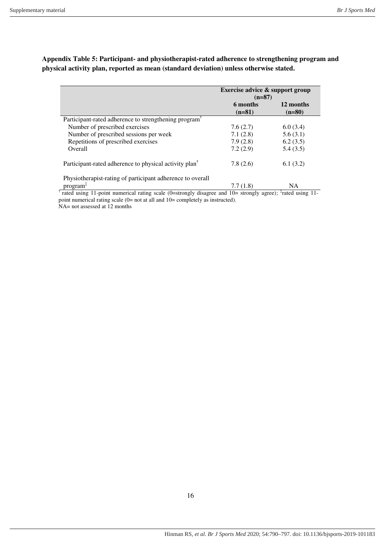|                                                                    | Exercise advice & support group<br>$(n=87)$   |           |  |
|--------------------------------------------------------------------|-----------------------------------------------|-----------|--|
|                                                                    | 6 months<br>12 months<br>$(n=81)$<br>$(n=80)$ |           |  |
| Participant-rated adherence to strengthening program <sup>1</sup>  |                                               |           |  |
| Number of prescribed exercises                                     | 7.6(2.7)                                      | 6.0(3.4)  |  |
| Number of prescribed sessions per week                             | 7.1(2.8)                                      | 5.6(3.1)  |  |
| Repetitions of prescribed exercises                                | 7.9(2.8)                                      | 6.2(3.5)  |  |
| <b>Overall</b>                                                     | 7.2(2.9)                                      | 5.4(3.5)  |  |
| Participant-rated adherence to physical activity plan <sup>†</sup> | 7.8(2.6)                                      | 6.1(3.2)  |  |
| Physiotherapist-rating of participant adherence to overall         |                                               |           |  |
| program <sup>1</sup>                                               | 7.7 (1.8)                                     | <b>NA</b> |  |

**Appendix Table 5: Participant- and physiotherapist-rated adherence to strengthening program and physical activity plan, reported as mean (standard deviation) unless otherwise stated.** 

<sup>†</sup> rated using 11-point numerical rating scale (0=strongly disagree and 10= strongly agree); <sup>‡</sup>rated using 11point numerical rating scale (0= not at all and 10= completely as instructed).

NA= not assessed at 12 months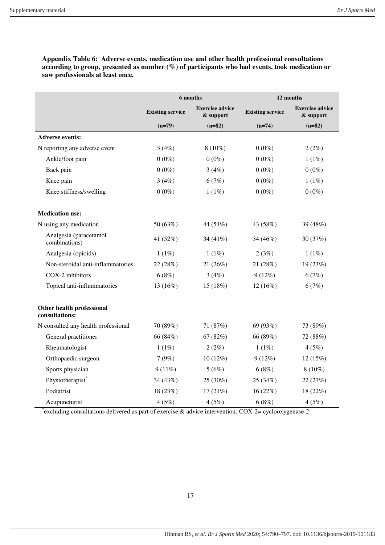|                                             |                         | 6 months                            | 12 months               |                                     |
|---------------------------------------------|-------------------------|-------------------------------------|-------------------------|-------------------------------------|
|                                             | <b>Existing service</b> | <b>Exercise advice</b><br>& support | <b>Existing service</b> | <b>Exercise advice</b><br>& support |
|                                             | $(n=79)$                | $(n=82)$                            | $(n=74)$                | $(n=82)$                            |
| <b>Adverse events:</b>                      |                         |                                     |                         |                                     |
| N reporting any adverse event               | 3(4%)                   | $8(10\%)$                           | $0(0\%)$                | 2(2%)                               |
| Ankle/foot pain                             | $0(0\%)$                | $0(0\%)$                            | $0(0\%)$                | 1(1%)                               |
| Back pain                                   | $0(0\%)$                | 3(4%)                               | $0(0\%)$                | $0(0\%)$                            |
| Knee pain                                   | 3(4%)                   | 6(7%)                               | $0(0\%)$                | 1(1%)                               |
| Knee stiffness/swelling                     | $0(0\%)$                | 1(1%)                               | $0(0\%)$                | $0(0\%)$                            |
| <b>Medication use:</b>                      |                         |                                     |                         |                                     |
| N using any medication                      | 50 (63%)                | 44 (54%)                            | 43 (58%)                | 39 (48%)                            |
| Analgesia (paracetamol<br>combinations)     | 41 (52%)                | 34 (41%)                            | 34 (46%)                | 30 (37%)                            |
| Analgesia (opioids)                         | 1(1%)                   | 1(1%)                               | 2(3%)                   | 1(1%)                               |
| Non-steroidal anti-inflammatories           | 22 (28%)                | 21 (26%)                            | 21 (28%)                | 19 (23%)                            |
| COX-2 inhibitors                            | 6(8%)                   | 3(4%)                               | 9(12%)                  | 6(7%)                               |
| Topical anti-inflammatories                 | 13 (16%)                | 15 (18%)                            | 12 (16%)                | 6(7%)                               |
| Other health professional<br>consultations: |                         |                                     |                         |                                     |
| N consulted any health professional         | 70 (89%)                | 71 (87%)                            | 69 (93%)                | 73 (89%)                            |
| General practitioner                        | 66 (84%)                | 67 (82%)                            | 66 (89%)                | 72 (88%)                            |
| Rheumatologist                              | 1(1%)                   | 2(2%)                               | 1(1%)                   | 4(5%)                               |
| Orthopaedic surgeon                         | 7(9%)                   | 10 (12%)                            | 9(12%)                  | 12(15%)                             |
| Sports physician                            | $9(11\%)$               | 5(6%)                               | 6(8%)                   | $8(10\%)$                           |
| Physiotherapist*                            | 34 (43%)                | 25 (30%)                            | 25 (34%)                | 22 (27%)                            |
| Podiatrist                                  | 18 (23%)                | 17(21%)                             | 16(22%)                 | 18 (22%)                            |
| Acupuncturist                               | 4(5%)                   | 4(5%)                               | 6(8%)                   | 4(5%)                               |

**Appendix Table 6: Adverse events, medication use and other health professional consultations according to group, presented as number (%) of participants who had events, took medication or saw professionals at least once.** 

\* excluding consultations delivered as part of exercise & advice intervention; COX-2= cyclooxygenase-2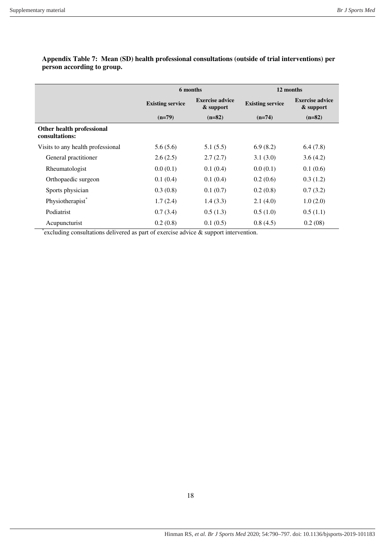|                                             | 6 months                                                       |          | 12 months               |                                     |  |
|---------------------------------------------|----------------------------------------------------------------|----------|-------------------------|-------------------------------------|--|
|                                             | <b>Exercise advice</b><br><b>Existing service</b><br>& support |          | <b>Existing service</b> | <b>Exercise advice</b><br>& support |  |
|                                             | $(n=79)$                                                       | $(n=82)$ | $(n=74)$                | $(n=82)$                            |  |
| Other health professional<br>consultations: |                                                                |          |                         |                                     |  |
| Visits to any health professional           | 5.6(5.6)                                                       | 5.1(5.5) | 6.9(8.2)                | 6.4(7.8)                            |  |
| General practitioner                        | 2.6(2.5)                                                       | 2.7(2.7) | 3.1(3.0)                | 3.6(4.2)                            |  |
| Rheumatologist                              | 0.0(0.1)                                                       | 0.1(0.4) | 0.0(0.1)                | 0.1(0.6)                            |  |
| Orthopaedic surgeon                         | 0.1(0.4)                                                       | 0.1(0.4) | 0.2(0.6)                | 0.3(1.2)                            |  |
| Sports physician                            | 0.3(0.8)                                                       | 0.1(0.7) | 0.2(0.8)                | 0.7(3.2)                            |  |
| Physiotherapist <sup>*</sup>                | 1.7(2.4)                                                       | 1.4(3.3) | 2.1(4.0)                | 1.0(2.0)                            |  |
| Podiatrist                                  | 0.7(3.4)                                                       | 0.5(1.3) | 0.5(1.0)                | 0.5(1.1)                            |  |
| Acupuncturist                               | 0.2(0.8)                                                       | 0.1(0.5) | 0.8(4.5)                | 0.2(08)                             |  |

## **Appendix Table 7: Mean (SD) health professional consultations (outside of trial interventions) per person according to group.**

\* excluding consultations delivered as part of exercise advice & support intervention.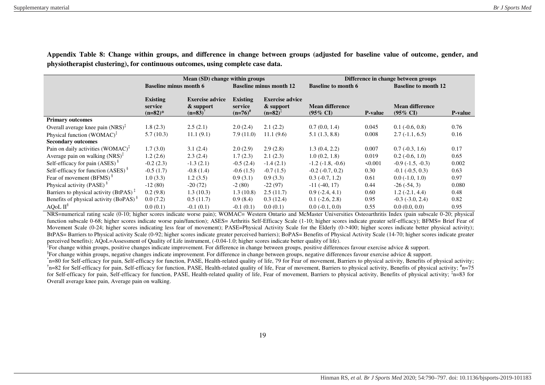|                                                                        |                                          | Mean (SD) change within groups                               |                                            |                                                   | Difference in change between groups           |                |                                               |                |  |
|------------------------------------------------------------------------|------------------------------------------|--------------------------------------------------------------|--------------------------------------------|---------------------------------------------------|-----------------------------------------------|----------------|-----------------------------------------------|----------------|--|
|                                                                        | <b>Baseline minus month 6</b>            |                                                              | <b>Baseline minus month 12</b>             |                                                   | <b>Baseline to month 6</b>                    |                | <b>Baseline to month 12</b>                   |                |  |
|                                                                        | <b>Existing</b><br>service<br>$(n=82)$ * | <b>Exercise advice</b><br>& support<br>$(n=83)$ <sup>T</sup> | <b>Existing</b><br>service<br>$(n=76)^{n}$ | <b>Exercise advice</b><br>& support<br>$(n=82)^+$ | <b>Mean difference</b><br>$(95\% \text{ CI})$ | <b>P-value</b> | <b>Mean difference</b><br>$(95\% \text{ CI})$ | <b>P-value</b> |  |
| <b>Primary outcomes</b>                                                |                                          |                                                              |                                            |                                                   |                                               |                |                                               |                |  |
| Overall average knee pain $(NRS)^{\ddagger}$                           | 1.8(2.3)                                 | 2.5(2.1)                                                     | 2.0(2.4)                                   | 2.1(2.2)                                          | 0.7(0.0, 1.4)                                 | 0.045          | $0.1$ ( $-0.6$ , $0.8$ )                      | 0.76           |  |
| Physical function (WOMAC) <sup><math>\ddagger</math></sup>             | 5.7(10.3)                                | 11.1(9.1)                                                    | 7.9(11.0)                                  | 11.1(9.6)                                         | 5.1(1.3, 8.8)                                 | 0.008          | $2.7(-1.1, 6.5)$                              | 0.16           |  |
| <b>Secondary outcomes</b>                                              |                                          |                                                              |                                            |                                                   |                                               |                |                                               |                |  |
| Pain on daily activities $(WOMAC)^{T}$                                 | 1.7(3.0)                                 | 3.1(2.4)                                                     | 2.0(2.9)                                   | 2.9(2.8)                                          | 1.3(0.4, 2.2)                                 | 0.007          | $0.7(-0.3, 1.6)$                              | 0.17           |  |
| Average pain on walking $(NRS)^{\ddagger}$                             | 1.2(2.6)                                 | 2.3(2.4)                                                     | 1.7(2.3)                                   | 2.1(2.3)                                          | 1.0(0.2, 1.8)                                 | 0.019          | $0.2$ ( $-0.6$ , $1.0$ )                      | 0.65           |  |
| Self-efficacy for pain (ASES) <sup>§</sup>                             | $-0.2(2.3)$                              | $-1.3(2.1)$                                                  | $-0.5(2.4)$                                | $-1.4(2.1)$                                       | $-1.2$ ( $-1.8$ , $-0.6$ )                    | $\leq 0.001$   | $-0.9$ ( $-1.5, -0.3$ )                       | 0.002          |  |
| Self-efficacy for function $(ASES)$ <sup>§</sup>                       | $-0.5(1.7)$                              | $-0.8(1.4)$                                                  | $-0.6(1.5)$                                | $-0.7(1.5)$                                       | $-0.2$ $(-0.7, 0.2)$                          | 0.30           | $-0.1$ $(-0.5, 0.3)$                          | 0.63           |  |
| Fear of movement (BFMS) <sup>§</sup>                                   | 1.0(3.3)                                 | 1.2(3.5)                                                     | 0.9(3.1)                                   | 0.9(3.3)                                          | $0.3$ ( $-0.7$ , 1.2)                         | 0.61           | $0.0(-1.0, 1.0)$                              | 0.97           |  |
| Physical activity (PASE) <sup>§</sup>                                  | $-12(80)$                                | $-20(72)$                                                    | $-2(80)$                                   | $-22(97)$                                         | $-11(-40, 17)$                                | 0.44           | $-26(-54, 3)$                                 | 0.080          |  |
| Barriers to physical activity (BtPAS) <sup><math>\ddagger</math></sup> | 0.2(9.8)                                 | 1.3(10.3)                                                    | 1.3(10.8)                                  | 2.5(11.7)                                         | $0.9(-2.4, 4.1)$                              | 0.60           | $1.2(-2.1, 4.4)$                              | 0.48           |  |
| Benefits of physical activity (BoPAS) <sup>§</sup>                     | 0.0(7.2)                                 | 0.5(11.7)                                                    | 0.9(8.4)                                   | 0.3(12.4)                                         | $0.1$ ( $-2.6$ , $2.8$ )                      | 0.95           | $-0.3$ $(-3.0, 2.4)$                          | 0.82           |  |
| AQoL II <sup>§</sup>                                                   | 0.0(0.1)                                 | $-0.1(0.1)$                                                  | $-0.1(0.1)$                                | 0.0(0.1)                                          | $0.0(-0.1, 0.0)$                              | 0.55           | 0.0(0.0, 0.0)                                 | 0.95           |  |

**Appendix Table 8: Change within groups, and difference in change between groups (adjusted for baseline value of outcome, gender, and physiotherapist clustering), for continuous outcomes, using complete case data.** 

NRS=numerical rating scale (0-10; higher scores indicate worse pain); WOMAC= Western Ontario and McMaster Universities Osteoarthritis Index (pain subscale 0-20; physical function subscale 0-68; higher scores indicate worse pain/function); ASES= Arthritis Self-Efficacy Scale (1-10; higher scores indicate greater self-efficacy); BFMS= Brief Fear of Movement Scale (0-24; higher scores indicating less fear of movement); PASE=Physical Activity Scale for the Elderly (0->400; higher scores indicate better physical activity); BtPAS= Barriers to Physical activity Scale (0-92; higher scores indicate greater perceived barriers); BoPAS= Benefits of Physical Activity Scale (14-70; higher scores indicate greater perceived benefits); AQoL=Assessment of Quality of Life instrument, (-0.04-1.0; higher scores indicate better quality of life).

<sup>‡</sup>For change within groups, positive changes indicate improvement. For difference in change between groups, positive differences favour exercise advice & support.

<sup>§</sup>For change within groups, negative changes indicate improvement. For difference in change between groups, negative differences favour exercise advice & support.

\* n=80 for Self-efficacy for pain, Self-efficacy for function, PASE, Health-related quality of life, 79 for Fear of movement, Barriers to physical activity, Benefits of physical activity; <sup>†</sup>n=82 for Self-efficacy for pain, Self-efficacy for function, PASE, Health-related quality of life, Fear of movement, Barriers to physical activity, Benefits of physical activity; <sup>#</sup>n=75 for Self-efficacy for pain, Self-efficacy for function, PASE, Health-related quality of life, Fear of movement, Barriers to physical activity, Benefits of physical activity;  $\ddot{i}$ =83 for Overall average knee pain, Average pain on walking.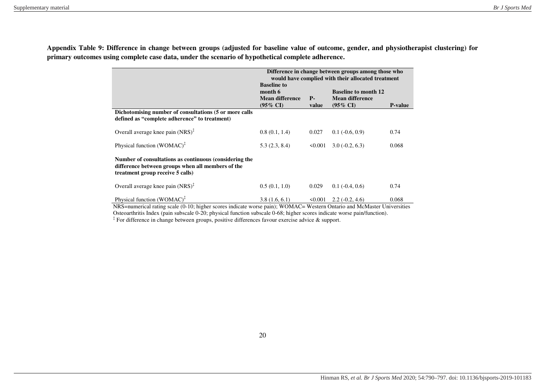|                                                                                                                                                                                     | Difference in change between groups among those who<br>would have complied with their allocated treatment |                     |                                                                              |                 |  |  |
|-------------------------------------------------------------------------------------------------------------------------------------------------------------------------------------|-----------------------------------------------------------------------------------------------------------|---------------------|------------------------------------------------------------------------------|-----------------|--|--|
|                                                                                                                                                                                     | <b>Baseline to</b><br>month 6<br><b>Mean difference</b><br>$(95\% \text{ CI})$                            | <b>P</b> -<br>value | <b>Baseline to month 12</b><br><b>Mean difference</b><br>$(95\% \text{ CI})$ | <b>P</b> -value |  |  |
| Dichotomising number of consultations (5 or more calls<br>defined as "complete adherence" to treatment)                                                                             |                                                                                                           |                     |                                                                              |                 |  |  |
| Overall average knee pain $(NRS)^{\ddagger}$                                                                                                                                        | 0.8(0.1, 1.4)                                                                                             | 0.027               | $0.1$ ( $-0.6$ , $0.9$ )                                                     | 0.74            |  |  |
| Physical function (WOMAC) <sup><math>\ddagger</math></sup>                                                                                                                          | 5.3(2.3, 8.4)                                                                                             | 50.001              | $3.0(-0.2, 6.3)$                                                             | 0.068           |  |  |
| Number of consultations as continuous (considering the<br>difference between groups when all members of the<br>treatment group receive 5 calls)                                     |                                                                                                           |                     |                                                                              |                 |  |  |
| Overall average knee pain $(NRS)^{\ddagger}$                                                                                                                                        | 0.5(0.1, 1.0)                                                                                             | 0.029               | $0.1 (-0.4, 0.6)$                                                            | 0.74            |  |  |
| Physical function (WOMAC) <sup><math>\ddagger</math></sup><br>NRS-numerical rating scale (0.10; higher scores indicate worse pain); WOMAC-Western Ontario and McMaster Universities | 3.8(1.6, 6.1)                                                                                             | $\leq 0.001$        | $2.2(-0.2, 4.6)$                                                             | 0.068           |  |  |

**Appendix Table 9: Difference in change between groups (adjusted for baseline value of outcome, gender, and physiotherapist clustering) for primary outcomes using complete case data, under the scenario of hypothetical complete adherence.** 

> NRS=numerical rating scale (0-10; higher scores indicate worse pain); WOMAC= Western Ontario and McMaster Universities Osteoarthritis Index (pain subscale 0-20; physical function subscale 0-68; higher scores indicate worse pain/function).

‡ For difference in change between groups, positive differences favour exercise advice & support.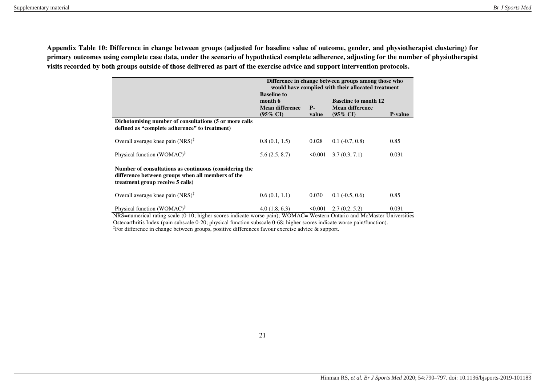**Appendix Table 10: Difference in change between groups (adjusted for baseline value of outcome, gender, and physiotherapist clustering) for primary outcomes using complete case data, under the scenario of hypothetical complete adherence, adjusting for the number of physiotherapist visits recorded by both groups outside of those delivered as part of the exercise advice and support intervention protocols.** 

|                                                                                                                                                                                     | Difference in change between groups among those who<br>would have complied with their allocated treatment                                                                                         |        |                          |       |  |  |  |
|-------------------------------------------------------------------------------------------------------------------------------------------------------------------------------------|---------------------------------------------------------------------------------------------------------------------------------------------------------------------------------------------------|--------|--------------------------|-------|--|--|--|
|                                                                                                                                                                                     | <b>Baseline to</b><br>month 6<br><b>Baseline to month 12</b><br><b>Mean difference</b><br><b>Mean difference</b><br>$P-$<br>$(95\% \text{ CI})$<br>$(95\% \text{ CI})$<br><b>P-value</b><br>value |        |                          |       |  |  |  |
| Dichotomising number of consultations (5 or more calls<br>defined as "complete adherence" to treatment)                                                                             |                                                                                                                                                                                                   |        |                          |       |  |  |  |
| Overall average knee pain $(NRS)^{\ddagger}$                                                                                                                                        | 0.8(0.1, 1.5)                                                                                                                                                                                     | 0.028  | $0.1$ ( $-0.7, 0.8$ )    | 0.85  |  |  |  |
| Physical function (WOMAC) <sup>‡</sup>                                                                                                                                              | 5.6(2.5, 8.7)                                                                                                                                                                                     | 50.001 | 3.7(0.3, 7.1)            | 0.031 |  |  |  |
| Number of consultations as continuous (considering the<br>difference between groups when all members of the<br>treatment group receive 5 calls)                                     |                                                                                                                                                                                                   |        |                          |       |  |  |  |
| Overall average knee pain $(NRS)^{\ddagger}$                                                                                                                                        | 0.6(0.1, 1.1)                                                                                                                                                                                     | 0.030  | $0.1$ ( $-0.5$ , $0.6$ ) | 0.85  |  |  |  |
| Physical function (WOMAC) <sup><math>\ddagger</math></sup><br>NRS=numerical rating scale (0-10; higher scores indicate worse pain); WOMAC= Western Ontario and McMaster Universitie | 4.0(1.8, 6.3)                                                                                                                                                                                     | 50.001 | 2.7(0.2, 5.2)            | 0.031 |  |  |  |

NRS=numerical rating scale (0-10; higher scores indicate worse pain); WOMAC= Western Ontario and McMaster Universities Osteoarthritis Index (pain subscale 0-20; physical function subscale 0-68; higher scores indicate worse pain/function). ‡ For difference in change between groups, positive differences favour exercise advice & support.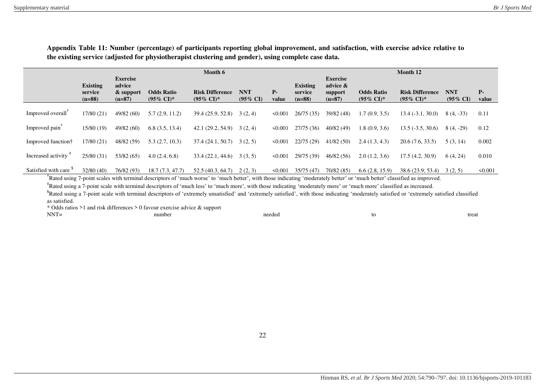**Appendix Table 11: Number (percentage) of participants reporting global improvement, and satisfaction, with exercise advice relative to the existing service (adjusted for physiotherapist clustering and gender), using complete case data.** 

|                                  |                                        | Month 6                                            |                                            |                                                 |                                   |               |                                        | Month 12                                           |                                            |                                                 |                                   |              |
|----------------------------------|----------------------------------------|----------------------------------------------------|--------------------------------------------|-------------------------------------------------|-----------------------------------|---------------|----------------------------------------|----------------------------------------------------|--------------------------------------------|-------------------------------------------------|-----------------------------------|--------------|
|                                  | <b>Existing</b><br>service<br>$(n=88)$ | <b>Exercise</b><br>advice<br>& support<br>$(n=87)$ | <b>Odds Ratio</b><br>$(95\% \text{ CI})^*$ | <b>Risk Difference</b><br>$(95\% \text{ CI})^*$ | <b>NNT</b><br>$(95\% \text{ CI})$ | $P-$<br>value | <b>Existing</b><br>service<br>$(n=88)$ | <b>Exercise</b><br>advice &<br>support<br>$(n=87)$ | <b>Odds Ratio</b><br>$(95\% \text{ CI})^*$ | <b>Risk Difference</b><br>$(95\% \text{ CI})^*$ | <b>NNT</b><br>$(95\% \text{ CI})$ | Р-<br>value  |
| Improved overall                 | 17/80 (21)                             | 49/82 (60)                                         | 5.7(2.9, 11.2)                             | 39.4 (25.9, 52.8)                               | 3(2, 4)                           | $\leq 0.001$  | 26/75(35)                              | 39/82 (48)                                         | 1.7(0.9, 3.5)                              | $13.4(-3.1, 30.0)$                              | $8(4, -33)$                       | 0.11         |
| Improved pain <sup>†</sup>       | 15/80 (19)                             | 49/82 (60)                                         | 6.8(3.5, 13.4)                             | 42.1(29.2, 54.9)                                | 3(2, 4)                           | 50.001        | 27/75(36)                              | 40/82(49)                                          | 1.8(0.9, 3.6)                              | $13.5(-3.5, 30.6)$                              | $8(4, -29)$                       | 0.12         |
| Improved function†               | 17/80 (21)                             | 48/82 (59)                                         | 5.3(2.7, 10.3)                             | 37.4(24.1, 50.7)                                | 3(2, 5)                           | 50.001        | 22/75(29)                              | 41/82(50)                                          | 2.4(1.3, 4.3)                              | 20.6(7.6, 33.5)                                 | 5(3, 14)                          | 0.002        |
| Increased activity               | 25/80(31)                              | 53/82 (65)                                         | 4.0(2.4, 6.8)                              | 33.4(22.1, 44.6)                                | 3(3, 5)                           | $\leq 0.001$  | 29/75 (39)                             | 46/82(56)                                          | 2.0(1.2, 3.6)                              | 17.5(4.2, 30.9)                                 | 6(4, 24)                          | 0.010        |
| Satisfied with care <sup>9</sup> | 32/80(40)                              | 76/82 (93)                                         | 18.7(7.3, 47.7)                            | 52.5 (40.3, 64.7)                               | 2(2, 3)                           | $\leq 0.001$  | 35/75(47)                              | 70/82(85)                                          | 6.6(2.8, 15.9)                             | 38.6 (23.9, 53.4)                               | 3(2, 5)                           | $\leq 0.001$ |

<sup>+</sup>Rated using 7-point scales with terminal descriptors of 'much worse' to 'much better', with those indicating 'moderately better' or 'much better' classified as improved.

‡ Rated using a 7-point scale with terminal descriptors of 'much less' to 'much more', with those indicating 'moderately more' or 'much more' classified as increased.

<sup>§</sup>Rated using a 7-point scale with terminal descriptors of 'extremely unsatisfied' and 'extremely satisfied', with those indicating 'moderately satisfied or 'extremely satisfied classified as satisfied.

\* Odds ratios >1 and risk differences > 0 favour exercise advice & support

| $NNT =$<br>needed<br>number<br>to. | trea |
|------------------------------------|------|
|------------------------------------|------|